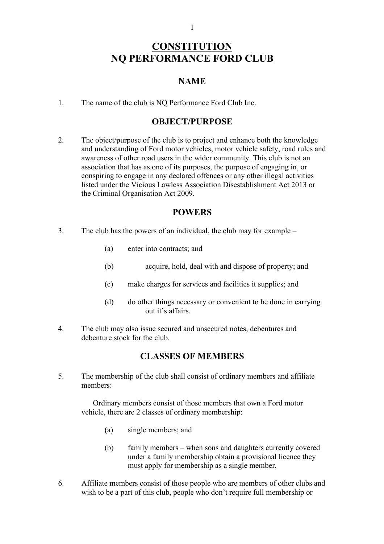#### 1

# **CONSTITUTION NQ PERFORMANCE FORD CLUB**

### **NAME**

1. The name of the club is NQ Performance Ford Club Inc.

#### **OBJECT/PURPOSE**

2. The object/purpose of the club is to project and enhance both the knowledge and understanding of Ford motor vehicles, motor vehicle safety, road rules and awareness of other road users in the wider community. This club is not an association that has as one of its purposes, the purpose of engaging in, or conspiring to engage in any declared offences or any other illegal activities listed under the Vicious Lawless Association Disestablishment Act 2013 or the Criminal Organisation Act 2009.

#### **POWERS**

- 3. The club has the powers of an individual, the club may for example
	- (a) enter into contracts; and
	- (b) acquire, hold, deal with and dispose of property; and
	- (c) make charges for services and facilities it supplies; and
	- (d) do other things necessary or convenient to be done in carrying out it's affairs.
- 4. The club may also issue secured and unsecured notes, debentures and debenture stock for the club.

## **CLASSES OF MEMBERS**

5. The membership of the club shall consist of ordinary members and affiliate members:

Ordinary members consist of those members that own a Ford motor vehicle, there are 2 classes of ordinary membership:

- (a) single members; and
- (b) family members when sons and daughters currently covered under a family membership obtain a provisional licence they must apply for membership as a single member.
- 6. Affiliate members consist of those people who are members of other clubs and wish to be a part of this club, people who don't require full membership or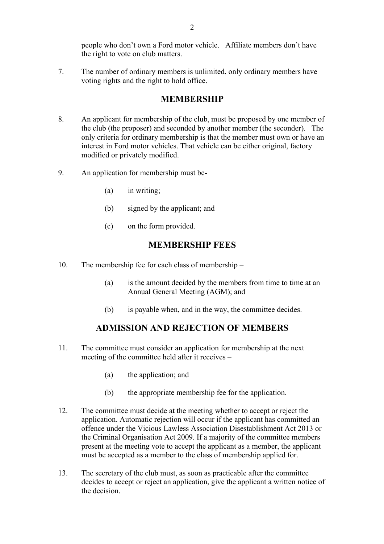people who don't own a Ford motor vehicle. Affiliate members don't have the right to vote on club matters.

7. The number of ordinary members is unlimited, only ordinary members have voting rights and the right to hold office.

#### **MEMBERSHIP**

- 8. An applicant for membership of the club, must be proposed by one member of the club (the proposer) and seconded by another member (the seconder). The only criteria for ordinary membership is that the member must own or have an interest in Ford motor vehicles. That vehicle can be either original, factory modified or privately modified.
- 9. An application for membership must be-
	- (a) in writing;
	- (b) signed by the applicant; and
	- (c) on the form provided.

#### **MEMBERSHIP FEES**

- 10. The membership fee for each class of membership
	- (a) is the amount decided by the members from time to time at an Annual General Meeting (AGM); and
	- (b) is payable when, and in the way, the committee decides.

#### **ADMISSION AND REJECTION OF MEMBERS**

- 11. The committee must consider an application for membership at the next meeting of the committee held after it receives –
	- (a) the application; and
	- (b) the appropriate membership fee for the application.
- 12. The committee must decide at the meeting whether to accept or reject the application. Automatic rejection will occur if the applicant has committed an offence under the Vicious Lawless Association Disestablishment Act 2013 or the Criminal Organisation Act 2009. If a majority of the committee members present at the meeting vote to accept the applicant as a member, the applicant must be accepted as a member to the class of membership applied for.
- 13. The secretary of the club must, as soon as practicable after the committee decides to accept or reject an application, give the applicant a written notice of the decision.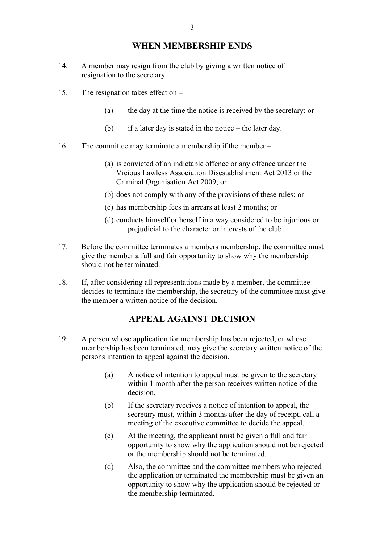#### **WHEN MEMBERSHIP ENDS**

- 14. A member may resign from the club by giving a written notice of resignation to the secretary.
- 15. The resignation takes effect on
	- (a) the day at the time the notice is received by the secretary; or
	- (b) if a later day is stated in the notice the later day.
- 16. The committee may terminate a membership if the member
	- (a) is convicted of an indictable offence or any offence under the Vicious Lawless Association Disestablishment Act 2013 or the Criminal Organisation Act 2009; or
	- (b) does not comply with any of the provisions of these rules; or
	- (c) has membership fees in arrears at least 2 months; or
	- (d) conducts himself or herself in a way considered to be injurious or prejudicial to the character or interests of the club.
- 17. Before the committee terminates a members membership, the committee must give the member a full and fair opportunity to show why the membership should not be terminated.
- 18. If, after considering all representations made by a member, the committee decides to terminate the membership, the secretary of the committee must give the member a written notice of the decision.

#### **APPEAL AGAINST DECISION**

- 19. A person whose application for membership has been rejected, or whose membership has been terminated, may give the secretary written notice of the persons intention to appeal against the decision.
	- (a) A notice of intention to appeal must be given to the secretary within 1 month after the person receives written notice of the decision.
	- (b) If the secretary receives a notice of intention to appeal, the secretary must, within 3 months after the day of receipt, call a meeting of the executive committee to decide the appeal.
	- (c) At the meeting, the applicant must be given a full and fair opportunity to show why the application should not be rejected or the membership should not be terminated.
	- (d) Also, the committee and the committee members who rejected the application or terminated the membership must be given an opportunity to show why the application should be rejected or the membership terminated.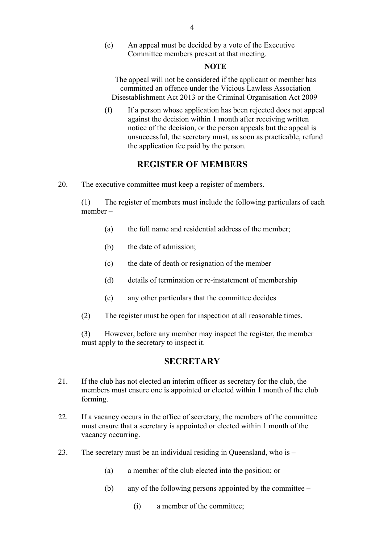(e) An appeal must be decided by a vote of the Executive Committee members present at that meeting.

#### **NOTE**

The appeal will not be considered if the applicant or member has committed an offence under the Vicious Lawless Association Disestablishment Act 2013 or the Criminal Organisation Act 2009

(f) If a person whose application has been rejected does not appeal against the decision within 1 month after receiving written notice of the decision, or the person appeals but the appeal is unsuccessful, the secretary must, as soon as practicable, refund the application fee paid by the person.

## **REGISTER OF MEMBERS**

20. The executive committee must keep a register of members.

(1) The register of members must include the following particulars of each member –

- (a) the full name and residential address of the member;
- (b) the date of admission;
- (c) the date of death or resignation of the member
- (d) details of termination or re-instatement of membership
- (e) any other particulars that the committee decides
- (2) The register must be open for inspection at all reasonable times.

(3) However, before any member may inspect the register, the member must apply to the secretary to inspect it.

#### **SECRETARY**

- 21. If the club has not elected an interim officer as secretary for the club, the members must ensure one is appointed or elected within 1 month of the club forming.
- 22. If a vacancy occurs in the office of secretary, the members of the committee must ensure that a secretary is appointed or elected within 1 month of the vacancy occurring.
- 23. The secretary must be an individual residing in Queensland, who is
	- (a) a member of the club elected into the position; or
	- (b) any of the following persons appointed by the committee
		- (i) a member of the committee;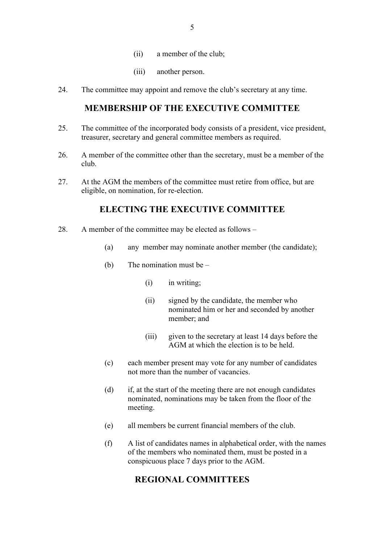- (ii) a member of the club;
- (iii) another person.
- 24. The committee may appoint and remove the club's secretary at any time.

### **MEMBERSHIP OF THE EXECUTIVE COMMITTEE**

- 25. The committee of the incorporated body consists of a president, vice president, treasurer, secretary and general committee members as required.
- 26. A member of the committee other than the secretary, must be a member of the club.
- 27. At the AGM the members of the committee must retire from office, but are eligible, on nomination, for re-election.

### **ELECTING THE EXECUTIVE COMMITTEE**

- 28. A member of the committee may be elected as follows
	- (a) any member may nominate another member (the candidate);
	- (b) The nomination must be
		- (i) in writing;
		- (ii) signed by the candidate, the member who nominated him or her and seconded by another member; and
		- (iii) given to the secretary at least 14 days before the AGM at which the election is to be held.
	- (c) each member present may vote for any number of candidates not more than the number of vacancies.
	- (d) if, at the start of the meeting there are not enough candidates nominated, nominations may be taken from the floor of the meeting.
	- (e) all members be current financial members of the club.
	- (f) A list of candidates names in alphabetical order, with the names of the members who nominated them, must be posted in a conspicuous place 7 days prior to the AGM.

#### **REGIONAL COMMITTEES**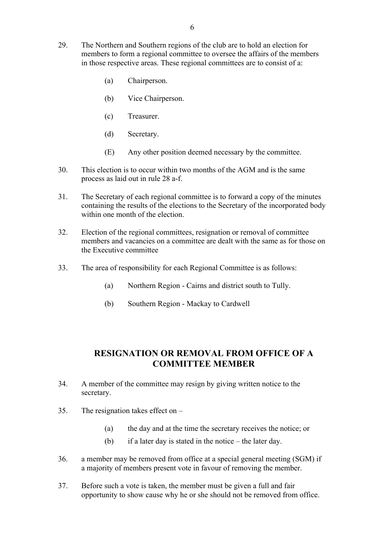- 29. The Northern and Southern regions of the club are to hold an election for members to form a regional committee to oversee the affairs of the members in those respective areas. These regional committees are to consist of a:
	- (a) Chairperson.
	- (b) Vice Chairperson.
	- (c) Treasurer.
	- (d) Secretary.
	- (E) Any other position deemed necessary by the committee.
- 30. This election is to occur within two months of the AGM and is the same process as laid out in rule 28 a-f.
- 31. The Secretary of each regional committee is to forward a copy of the minutes containing the results of the elections to the Secretary of the incorporated body within one month of the election.
- 32. Election of the regional committees, resignation or removal of committee members and vacancies on a committee are dealt with the same as for those on the Executive committee
- 33. The area of responsibility for each Regional Committee is as follows:
	- (a) Northern Region Cairns and district south to Tully.
	- (b) Southern Region Mackay to Cardwell

## **RESIGNATION OR REMOVAL FROM OFFICE OF A COMMITTEE MEMBER**

- 34. A member of the committee may resign by giving written notice to the secretary.
- 35. The resignation takes effect on
	- (a) the day and at the time the secretary receives the notice; or
	- (b) if a later day is stated in the notice the later day.
- 36. a member may be removed from office at a special general meeting (SGM) if a majority of members present vote in favour of removing the member.
- 37. Before such a vote is taken, the member must be given a full and fair opportunity to show cause why he or she should not be removed from office.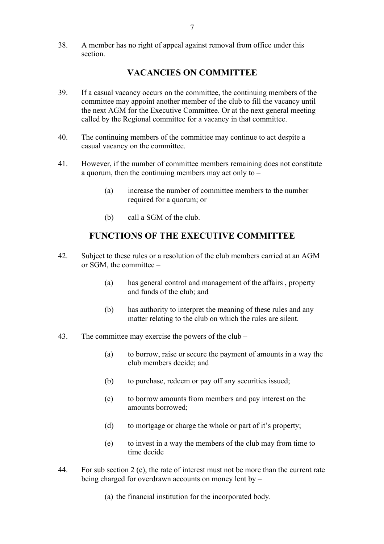38. A member has no right of appeal against removal from office under this section.

## **VACANCIES ON COMMITTEE**

- 39. If a casual vacancy occurs on the committee, the continuing members of the committee may appoint another member of the club to fill the vacancy until the next AGM for the Executive Committee. Or at the next general meeting called by the Regional committee for a vacancy in that committee.
- 40. The continuing members of the committee may continue to act despite a casual vacancy on the committee.
- 41. However, if the number of committee members remaining does not constitute a quorum, then the continuing members may act only to –
	- (a) increase the number of committee members to the number required for a quorum; or
	- (b) call a SGM of the club.

## **FUNCTIONS OF THE EXECUTIVE COMMITTEE**

- 42. Subject to these rules or a resolution of the club members carried at an AGM or SGM, the committee –
	- (a) has general control and management of the affairs , property and funds of the club; and
	- (b) has authority to interpret the meaning of these rules and any matter relating to the club on which the rules are silent.
- 43. The committee may exercise the powers of the club
	- (a) to borrow, raise or secure the payment of amounts in a way the club members decide; and
	- (b) to purchase, redeem or pay off any securities issued;
	- (c) to borrow amounts from members and pay interest on the amounts borrowed;
	- (d) to mortgage or charge the whole or part of it's property;
	- (e) to invest in a way the members of the club may from time to time decide
- 44. For sub section 2 (c), the rate of interest must not be more than the current rate being charged for overdrawn accounts on money lent by –
	- (a) the financial institution for the incorporated body.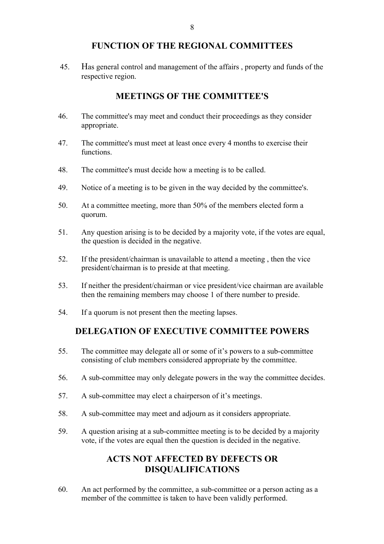#### **FUNCTION OF THE REGIONAL COMMITTEES**

45. Has general control and management of the affairs , property and funds of the respective region.

## **MEETINGS OF THE COMMITTEE'S**

- 46. The committee's may meet and conduct their proceedings as they consider appropriate.
- 47. The committee's must meet at least once every 4 months to exercise their functions.
- 48. The committee's must decide how a meeting is to be called.
- 49. Notice of a meeting is to be given in the way decided by the committee's.
- 50. At a committee meeting, more than 50% of the members elected form a quorum.
- 51. Any question arising is to be decided by a majority vote, if the votes are equal, the question is decided in the negative.
- 52. If the president/chairman is unavailable to attend a meeting , then the vice president/chairman is to preside at that meeting.
- 53. If neither the president/chairman or vice president/vice chairman are available then the remaining members may choose 1 of there number to preside.
- 54. If a quorum is not present then the meeting lapses.

#### **DELEGATION OF EXECUTIVE COMMITTEE POWERS**

- 55. The committee may delegate all or some of it's powers to a sub-committee consisting of club members considered appropriate by the committee.
- 56. A sub-committee may only delegate powers in the way the committee decides.
- 57. A sub-committee may elect a chairperson of it's meetings.
- 58. A sub-committee may meet and adjourn as it considers appropriate.
- 59. A question arising at a sub-committee meeting is to be decided by a majority vote, if the votes are equal then the question is decided in the negative.

## **ACTS NOT AFFECTED BY DEFECTS OR DISQUALIFICATIONS**

60. An act performed by the committee, a sub-committee or a person acting as a member of the committee is taken to have been validly performed.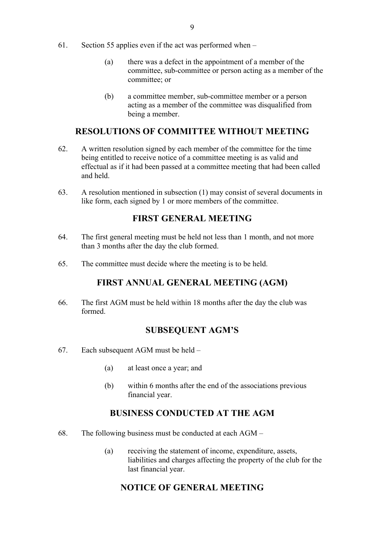- 61. Section 55 applies even if the act was performed when
	- (a) there was a defect in the appointment of a member of the committee, sub-committee or person acting as a member of the committee; or
	- (b) a committee member, sub-committee member or a person acting as a member of the committee was disqualified from being a member.

## **RESOLUTIONS OF COMMITTEE WITHOUT MEETING**

- 62. A written resolution signed by each member of the committee for the time being entitled to receive notice of a committee meeting is as valid and effectual as if it had been passed at a committee meeting that had been called and held.
- 63. A resolution mentioned in subsection (1) may consist of several documents in like form, each signed by 1 or more members of the committee.

### **FIRST GENERAL MEETING**

- 64. The first general meeting must be held not less than 1 month, and not more than 3 months after the day the club formed.
- 65. The committee must decide where the meeting is to be held.

### **FIRST ANNUAL GENERAL MEETING (AGM)**

66. The first AGM must be held within 18 months after the day the club was formed.

#### **SUBSEQUENT AGM'S**

- 67. Each subsequent AGM must be held
	- (a) at least once a year; and
	- (b) within 6 months after the end of the associations previous financial year.

#### **BUSINESS CONDUCTED AT THE AGM**

- 68. The following business must be conducted at each AGM
	- (a) receiving the statement of income, expenditure, assets, liabilities and charges affecting the property of the club for the last financial year.

### **NOTICE OF GENERAL MEETING**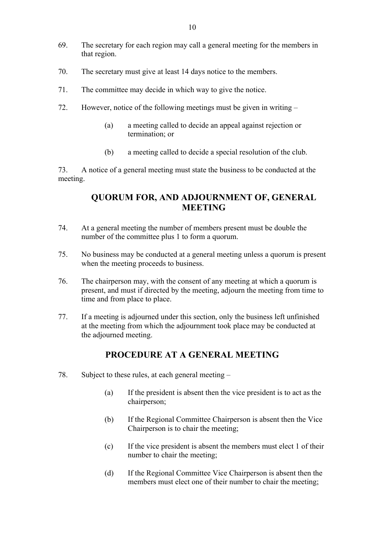- 69. The secretary for each region may call a general meeting for the members in that region.
- 70. The secretary must give at least 14 days notice to the members.
- 71. The committee may decide in which way to give the notice.
- 72. However, notice of the following meetings must be given in writing
	- (a) a meeting called to decide an appeal against rejection or termination; or
	- (b) a meeting called to decide a special resolution of the club.

73. A notice of a general meeting must state the business to be conducted at the meeting.

## **QUORUM FOR, AND ADJOURNMENT OF, GENERAL MEETING**

- 74. At a general meeting the number of members present must be double the number of the committee plus 1 to form a quorum.
- 75. No business may be conducted at a general meeting unless a quorum is present when the meeting proceeds to business.
- 76. The chairperson may, with the consent of any meeting at which a quorum is present, and must if directed by the meeting, adjourn the meeting from time to time and from place to place.
- 77. If a meeting is adjourned under this section, only the business left unfinished at the meeting from which the adjournment took place may be conducted at the adjourned meeting.

#### **PROCEDURE AT A GENERAL MEETING**

- 78. Subject to these rules, at each general meeting
	- (a) If the president is absent then the vice president is to act as the chairperson;
	- (b) If the Regional Committee Chairperson is absent then the Vice Chairperson is to chair the meeting;
	- (c) If the vice president is absent the members must elect 1 of their number to chair the meeting;
	- (d) If the Regional Committee Vice Chairperson is absent then the members must elect one of their number to chair the meeting;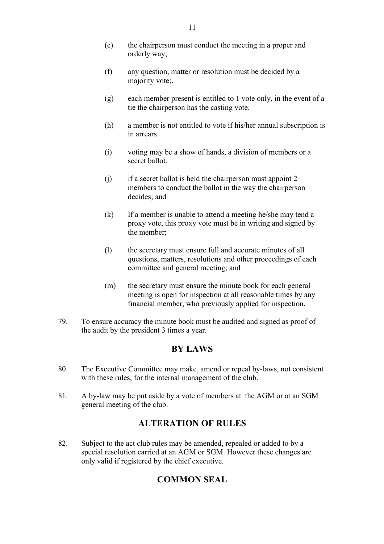- (e) the chairperson must conduct the meeting in a proper and orderly way;
- (f) any question, matter or resolution must be decided by a majority vote;.
- (g) each member present is entitled to 1 vote only, in the event of a tie the chairperson has the casting vote.
- (h) a member is not entitled to vote if his/her annual subscription is in arrears.
- (i) voting may be a show of hands, a division of members or a secret ballot.
- (j) if a secret ballot is held the chairperson must appoint 2 members to conduct the ballot in the way the chairperson decides; and
- (k) If a member is unable to attend a meeting he/she may tend a proxy vote, this proxy vote must be in writing and signed by the member;
- (l) the secretary must ensure full and accurate minutes of all questions, matters, resolutions and other proceedings of each committee and general meeting; and
- (m) the secretary must ensure the minute book for each general meeting is open for inspection at all reasonable times by any financial member, who previously applied for inspection.
- 79. To ensure accuracy the minute book must be audited and signed as proof of the audit by the president 3 times a year.

## **BY LAWS**

- 80. The Executive Committee may make, amend or repeal by-laws, not consistent with these rules, for the internal management of the club.
- 81. A by-law may be put aside by a vote of members at the AGM or at an SGM general meeting of the club.

## **ALTERATION OF RULES**

82. Subject to the act club rules may be amended, repealed or added to by a special resolution carried at an AGM or SGM. However these changes are only valid if registered by the chief executive.

## **COMMON SEAL**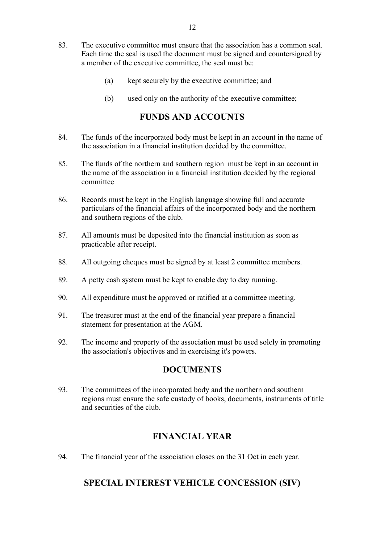- 83. The executive committee must ensure that the association has a common seal. Each time the seal is used the document must be signed and countersigned by a member of the executive committee, the seal must be:
	- (a) kept securely by the executive committee; and
	- (b) used only on the authority of the executive committee;

### **FUNDS AND ACCOUNTS**

- 84. The funds of the incorporated body must be kept in an account in the name of the association in a financial institution decided by the committee.
- 85. The funds of the northern and southern region must be kept in an account in the name of the association in a financial institution decided by the regional committee
- 86. Records must be kept in the English language showing full and accurate particulars of the financial affairs of the incorporated body and the northern and southern regions of the club.
- 87. All amounts must be deposited into the financial institution as soon as practicable after receipt.
- 88. All outgoing cheques must be signed by at least 2 committee members.
- 89. A petty cash system must be kept to enable day to day running.
- 90. All expenditure must be approved or ratified at a committee meeting.
- 91. The treasurer must at the end of the financial year prepare a financial statement for presentation at the AGM.
- 92. The income and property of the association must be used solely in promoting the association's objectives and in exercising it's powers.

#### **DOCUMENTS**

93. The committees of the incorporated body and the northern and southern regions must ensure the safe custody of books, documents, instruments of title and securities of the club.

## **FINANCIAL YEAR**

94. The financial year of the association closes on the 31 Oct in each year.

## **SPECIAL INTEREST VEHICLE CONCESSION (SIV)**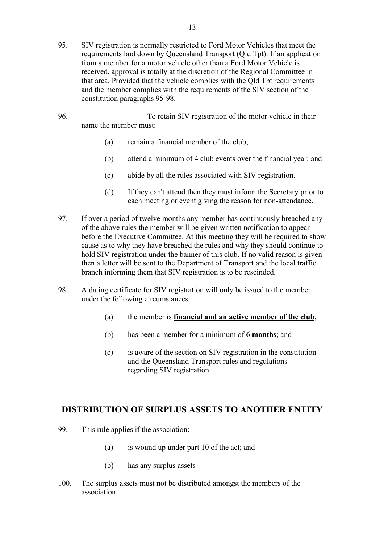- 95. SIV registration is normally restricted to Ford Motor Vehicles that meet the requirements laid down by Queensland Transport (Qld Tpt). If an application from a member for a motor vehicle other than a Ford Motor Vehicle is received, approval is totally at the discretion of the Regional Committee in that area. Provided that the vehicle complies with the Qld Tpt requirements and the member complies with the requirements of the SIV section of the constitution paragraphs 95-98.
- 96. To retain SIV registration of the motor vehicle in their name the member must:
	- (a) remain a financial member of the club;
	- (b) attend a minimum of 4 club events over the financial year; and
	- (c) abide by all the rules associated with SIV registration.
	- (d) If they can't attend then they must inform the Secretary prior to each meeting or event giving the reason for non-attendance.
- 97. If over a period of twelve months any member has continuously breached any of the above rules the member will be given written notification to appear before the Executive Committee. At this meeting they will be required to show cause as to why they have breached the rules and why they should continue to hold SIV registration under the banner of this club. If no valid reason is given then a letter will be sent to the Department of Transport and the local traffic branch informing them that SIV registration is to be rescinded.
- 98. A dating certificate for SIV registration will only be issued to the member under the following circumstances:
	- (a) the member is **financial and an active member of the club**;
	- (b) has been a member for a minimum of **6 months**; and
	- (c) is aware of the section on SIV registration in the constitution and the Queensland Transport rules and regulations regarding SIV registration.

#### **DISTRIBUTION OF SURPLUS ASSETS TO ANOTHER ENTITY**

- 99. This rule applies if the association:
	- (a) is wound up under part 10 of the act; and
	- (b) has any surplus assets
- 100. The surplus assets must not be distributed amongst the members of the association.